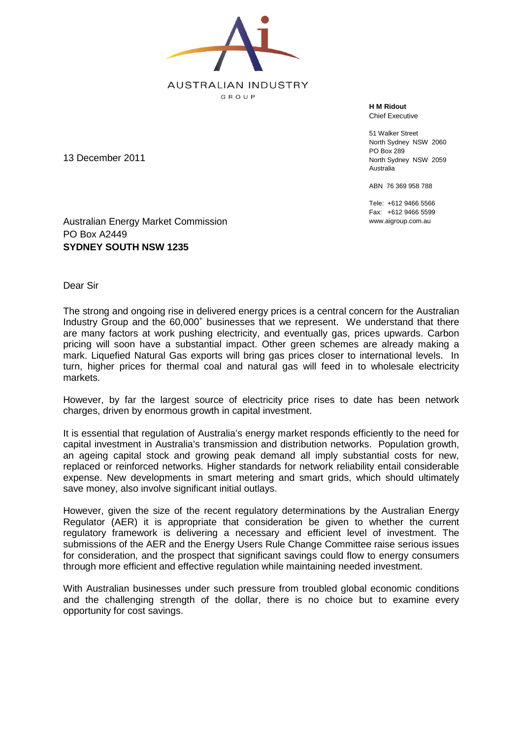

**H M Ridout** Chief Executive

51 Walker Street North Sydney NSW 2060 PO Box 289 North Sydney NSW 2059 Australia

ABN 76 369 958 788

Tele: +612 9466 5566 Fax: +612 9466 5599 www.aigroup.com.au

13 December 2011

Australian Energy Market Commission PO Box A2449 **SYDNEY SOUTH NSW 1235** 

Dear Sir

The strong and ongoing rise in delivered energy prices is a central concern for the Australian Industry Group and the 60,000<sup>+</sup> businesses that we represent. We understand that there are many factors at work pushing electricity, and eventually gas, prices upwards. Carbon pricing will soon have a substantial impact. Other green schemes are already making a mark. Liquefied Natural Gas exports will bring gas prices closer to international levels. In turn, higher prices for thermal coal and natural gas will feed in to wholesale electricity markets.

However, by far the largest source of electricity price rises to date has been network charges, driven by enormous growth in capital investment.

It is essential that regulation of Australia's energy market responds efficiently to the need for capital investment in Australia's transmission and distribution networks. Population growth, an ageing capital stock and growing peak demand all imply substantial costs for new, replaced or reinforced networks. Higher standards for network reliability entail considerable expense. New developments in smart metering and smart grids, which should ultimately save money, also involve significant initial outlays.

However, given the size of the recent regulatory determinations by the Australian Energy Regulator (AER) it is appropriate that consideration be given to whether the current regulatory framework is delivering a necessary and efficient level of investment. The submissions of the AER and the Energy Users Rule Change Committee raise serious issues for consideration, and the prospect that significant savings could flow to energy consumers through more efficient and effective regulation while maintaining needed investment.

With Australian businesses under such pressure from troubled global economic conditions and the challenging strength of the dollar, there is no choice but to examine every opportunity for cost savings.